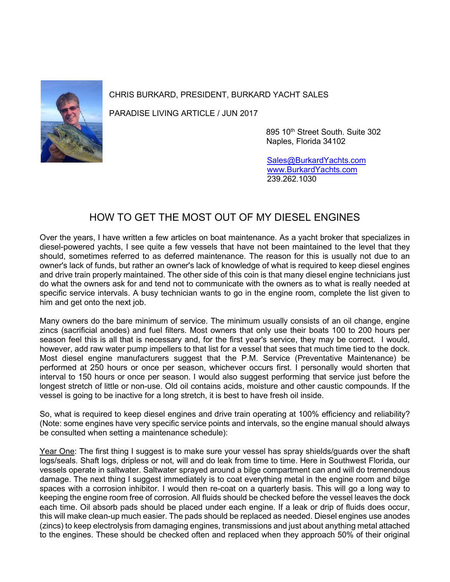

## CHRIS BURKARD, PRESIDENT, BURKARD YACHT SALES

PARADISE LIVING ARTICLE / JUN 2017

895 10th Street South. Suite 302 Naples, Florida 34102

 [Sales@BurkardYachts.com](mailto:Sales@BurkardYachts.com) [www.BurkardYachts.com](http://www.burkardyachts.com/) 239.262.1030

## HOW TO GET THE MOST OUT OF MY DIESEL ENGINES

Over the years, I have written a few articles on boat maintenance. As a yacht broker that specializes in diesel-powered yachts, I see quite a few vessels that have not been maintained to the level that they should, sometimes referred to as deferred maintenance. The reason for this is usually not due to an owner's lack of funds, but rather an owner's lack of knowledge of what is required to keep diesel engines and drive train properly maintained. The other side of this coin is that many diesel engine technicians just do what the owners ask for and tend not to communicate with the owners as to what is really needed at specific service intervals. A busy technician wants to go in the engine room, complete the list given to him and get onto the next job.

Many owners do the bare minimum of service. The minimum usually consists of an oil change, engine zincs (sacrificial anodes) and fuel filters. Most owners that only use their boats 100 to 200 hours per season feel this is all that is necessary and, for the first year's service, they may be correct. I would, however, add raw water pump impellers to that list for a vessel that sees that much time tied to the dock. Most diesel engine manufacturers suggest that the P.M. Service (Preventative Maintenance) be performed at 250 hours or once per season, whichever occurs first. I personally would shorten that interval to 150 hours or once per season. I would also suggest performing that service just before the longest stretch of little or non-use. Old oil contains acids, moisture and other caustic compounds. If the vessel is going to be inactive for a long stretch, it is best to have fresh oil inside.

So, what is required to keep diesel engines and drive train operating at 100% efficiency and reliability? (Note: some engines have very specific service points and intervals, so the engine manual should always be consulted when setting a maintenance schedule):

Year One: The first thing I suggest is to make sure your vessel has spray shields/guards over the shaft logs/seals. Shaft logs, dripless or not, will and do leak from time to time. Here in Southwest Florida, our vessels operate in saltwater. Saltwater sprayed around a bilge compartment can and will do tremendous damage. The next thing I suggest immediately is to coat everything metal in the engine room and bilge spaces with a corrosion inhibitor. I would then re-coat on a quarterly basis. This will go a long way to keeping the engine room free of corrosion. All fluids should be checked before the vessel leaves the dock each time. Oil absorb pads should be placed under each engine. If a leak or drip of fluids does occur, this will make clean-up much easier. The pads should be replaced as needed. Diesel engines use anodes (zincs) to keep electrolysis from damaging engines, transmissions and just about anything metal attached to the engines. These should be checked often and replaced when they approach 50% of their original